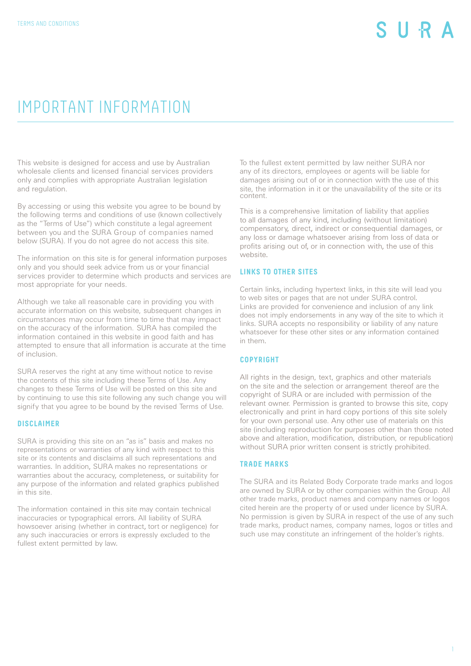## IMPORTANT INFORMATION

This website is designed for access and use by Australian wholesale clients and licensed financial services providers only and complies with appropriate Australian legislation and regulation.

By accessing or using this website you agree to be bound by the following terms and conditions of use (known collectively as the "Terms of Use") which constitute a legal agreement between you and the SURA Group of companies named below (SURA). If you do not agree do not access this site.

The information on this site is for general information purposes only and you should seek advice from us or your financial services provider to determine which products and services are most appropriate for your needs.

Although we take all reasonable care in providing you with accurate information on this website, subsequent changes in circumstances may occur from time to time that may impact on the accuracy of the information. SURA has compiled the information contained in this website in good faith and has attempted to ensure that all information is accurate at the time of inclusion.

SURA reserves the right at any time without notice to revise the contents of this site including these Terms of Use. Any changes to these Terms of Use will be posted on this site and by continuing to use this site following any such change you will signify that you agree to be bound by the revised Terms of Use.

#### **DISCLAIMER**

SURA is providing this site on an "as is" basis and makes no representations or warranties of any kind with respect to this site or its contents and disclaims all such representations and warranties. In addition, SURA makes no representations or warranties about the accuracy, completeness, or suitability for any purpose of the information and related graphics published in this site.

The information contained in this site may contain technical inaccuracies or typographical errors. All liability of SURA howsoever arising (whether in contract, tort or negligence) for any such inaccuracies or errors is expressly excluded to the fullest extent permitted by law.

To the fullest extent permitted by law neither SURA nor any of its directors, employees or agents will be liable for damages arising out of or in connection with the use of this site, the information in it or the unavailability of the site or its content.

This is a comprehensive limitation of liability that applies to all damages of any kind, including (without limitation) compensatory, direct, indirect or consequential damages, or any loss or damage whatsoever arising from loss of data or profits arising out of, or in connection with, the use of this website.

#### **LINKS TO OTHER SITES**

Certain links, including hypertext links, in this site will lead you to web sites or pages that are not under SURA control. Links are provided for convenience and inclusion of any link does not imply endorsements in any way of the site to which it links. SURA accepts no responsibility or liability of any nature whatsoever for these other sites or any information contained in them.

### **COPYRIGHT**

All rights in the design, text, graphics and other materials on the site and the selection or arrangement thereof are the copyright of SURA or are included with permission of the relevant owner. Permission is granted to browse this site, copy electronically and print in hard copy portions of this site solely for your own personal use. Any other use of materials on this site (including reproduction for purposes other than those noted above and alteration, modification, distribution, or republication) without SURA prior written consent is strictly prohibited.

#### **TRADE MARKS**

The SURA and its Related Body Corporate trade marks and logos are owned by SURA or by other companies within the Group. All other trade marks, product names and company names or logos cited herein are the property of or used under licence by SURA. No permission is given by SURA in respect of the use of any such trade marks, product names, company names, logos or titles and such use may constitute an infringement of the holder's rights.